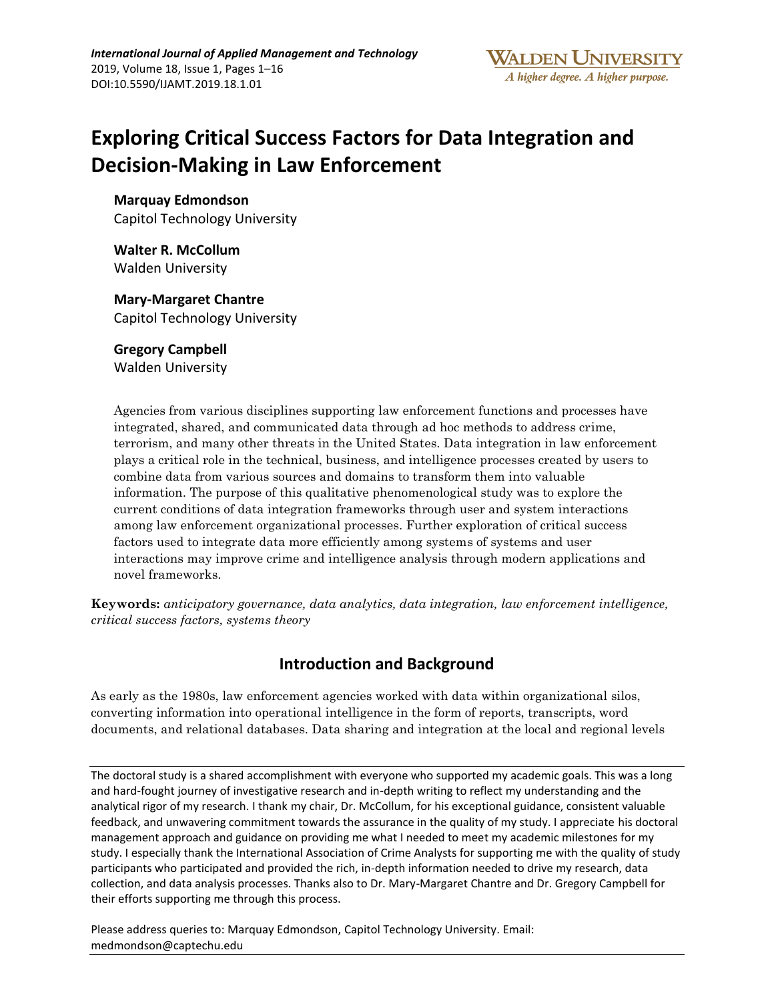# **Exploring Critical Success Factors for Data Integration and Decision-Making in Law Enforcement**

**Marquay Edmondson** Capitol Technology University

**Walter R. McCollum** Walden University

**Mary-Margaret Chantre** Capitol Technology University

**Gregory Campbell**  Walden University

Agencies from various disciplines supporting law enforcement functions and processes have integrated, shared, and communicated data through ad hoc methods to address crime, terrorism, and many other threats in the United States. Data integration in law enforcement plays a critical role in the technical, business, and intelligence processes created by users to combine data from various sources and domains to transform them into valuable information. The purpose of this qualitative phenomenological study was to explore the current conditions of data integration frameworks through user and system interactions among law enforcement organizational processes. Further exploration of critical success factors used to integrate data more efficiently among systems of systems and user interactions may improve crime and intelligence analysis through modern applications and novel frameworks.

**Keywords:** *anticipatory governance, data analytics, data integration, law enforcement intelligence, critical success factors, systems theory*

# **Introduction and Background**

As early as the 1980s, law enforcement agencies worked with data within organizational silos, converting information into operational intelligence in the form of reports, transcripts, word documents, and relational databases. Data sharing and integration at the local and regional levels

The doctoral study is a shared accomplishment with everyone who supported my academic goals. This was a long and hard-fought journey of investigative research and in-depth writing to reflect my understanding and the analytical rigor of my research. I thank my chair, Dr. McCollum, for his exceptional guidance, consistent valuable feedback, and unwavering commitment towards the assurance in the quality of my study. I appreciate his doctoral management approach and guidance on providing me what I needed to meet my academic milestones for my study. I especially thank the International Association of Crime Analysts for supporting me with the quality of study participants who participated and provided the rich, in-depth information needed to drive my research, data collection, and data analysis processes. Thanks also to Dr. Mary-Margaret Chantre and Dr. Gregory Campbell for their efforts supporting me through this process.

Please address queries to: Marquay Edmondson, Capitol Technology University. Email: medmondson@captechu.edu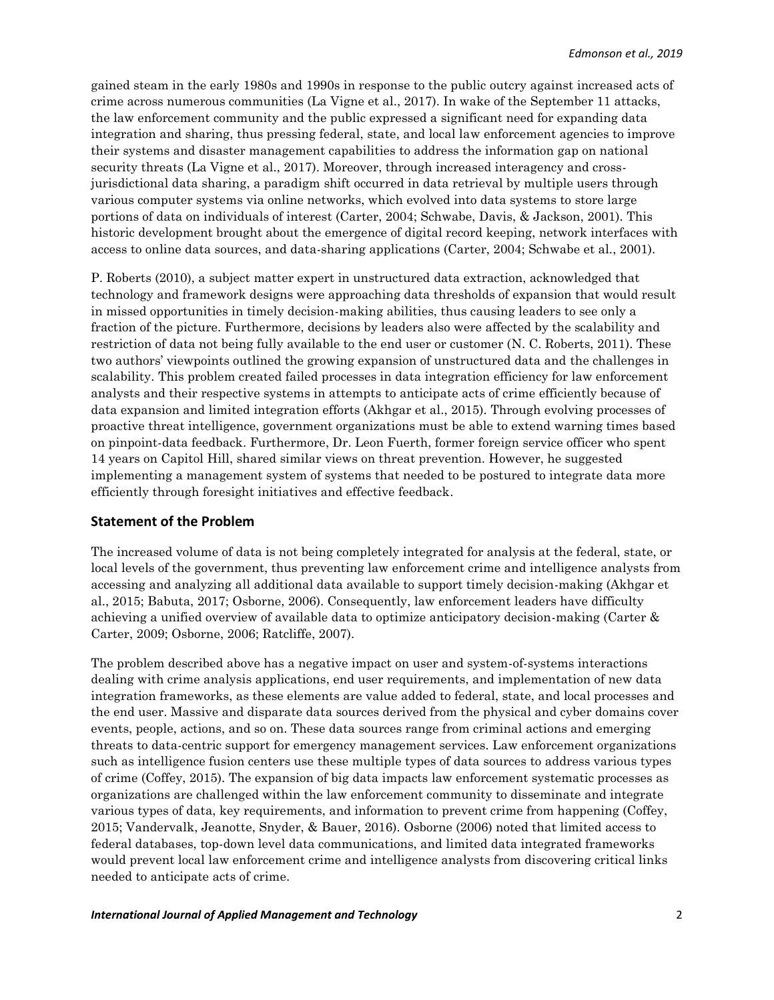gained steam in the early 1980s and 1990s in response to the public outcry against increased acts of crime across numerous communities (La Vigne et al., 2017). In wake of the September 11 attacks, the law enforcement community and the public expressed a significant need for expanding data integration and sharing, thus pressing federal, state, and local law enforcement agencies to improve their systems and disaster management capabilities to address the information gap on national security threats (La Vigne et al., 2017). Moreover, through increased interagency and crossjurisdictional data sharing, a paradigm shift occurred in data retrieval by multiple users through various computer systems via online networks, which evolved into data systems to store large portions of data on individuals of interest (Carter, 2004; Schwabe, Davis, & Jackson, 2001). This historic development brought about the emergence of digital record keeping, network interfaces with access to online data sources, and data-sharing applications (Carter, 2004; Schwabe et al., 2001).

P. Roberts (2010), a subject matter expert in unstructured data extraction, acknowledged that technology and framework designs were approaching data thresholds of expansion that would result in missed opportunities in timely decision-making abilities, thus causing leaders to see only a fraction of the picture. Furthermore, decisions by leaders also were affected by the scalability and restriction of data not being fully available to the end user or customer (N. C. Roberts, 2011). These two authors' viewpoints outlined the growing expansion of unstructured data and the challenges in scalability. This problem created failed processes in data integration efficiency for law enforcement analysts and their respective systems in attempts to anticipate acts of crime efficiently because of data expansion and limited integration efforts (Akhgar et al., 2015). Through evolving processes of proactive threat intelligence, government organizations must be able to extend warning times based on pinpoint-data feedback. Furthermore, Dr. Leon Fuerth, former foreign service officer who spent 14 years on Capitol Hill, shared similar views on threat prevention. However, he suggested implementing a management system of systems that needed to be postured to integrate data more efficiently through foresight initiatives and effective feedback.

#### **Statement of the Problem**

The increased volume of data is not being completely integrated for analysis at the federal, state, or local levels of the government, thus preventing law enforcement crime and intelligence analysts from accessing and analyzing all additional data available to support timely decision-making (Akhgar et al., 2015; Babuta, 2017; Osborne, 2006). Consequently, law enforcement leaders have difficulty achieving a unified overview of available data to optimize anticipatory decision-making (Carter & Carter, 2009; Osborne, 2006; Ratcliffe, 2007).

The problem described above has a negative impact on user and system-of-systems interactions dealing with crime analysis applications, end user requirements, and implementation of new data integration frameworks, as these elements are value added to federal, state, and local processes and the end user. Massive and disparate data sources derived from the physical and cyber domains cover events, people, actions, and so on. These data sources range from criminal actions and emerging threats to data-centric support for emergency management services. Law enforcement organizations such as intelligence fusion centers use these multiple types of data sources to address various types of crime (Coffey, 2015). The expansion of big data impacts law enforcement systematic processes as organizations are challenged within the law enforcement community to disseminate and integrate various types of data, key requirements, and information to prevent crime from happening (Coffey, 2015; Vandervalk, Jeanotte, Snyder, & Bauer, 2016). Osborne (2006) noted that limited access to federal databases, top-down level data communications, and limited data integrated frameworks would prevent local law enforcement crime and intelligence analysts from discovering critical links needed to anticipate acts of crime.

#### *International Journal of Applied Management and Technology* 2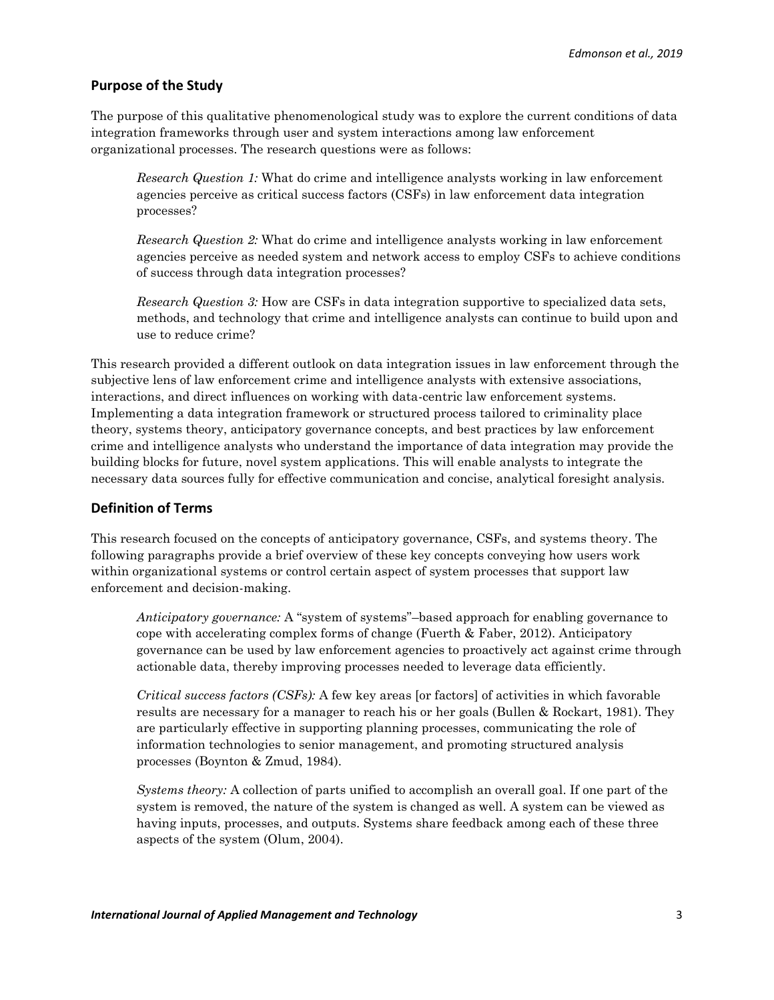# **Purpose of the Study**

The purpose of this qualitative phenomenological study was to explore the current conditions of data integration frameworks through user and system interactions among law enforcement organizational processes. The research questions were as follows:

*Research Question 1:* What do crime and intelligence analysts working in law enforcement agencies perceive as critical success factors (CSFs) in law enforcement data integration processes?

*Research Question 2:* What do crime and intelligence analysts working in law enforcement agencies perceive as needed system and network access to employ CSFs to achieve conditions of success through data integration processes?

*Research Question 3:* How are CSFs in data integration supportive to specialized data sets, methods, and technology that crime and intelligence analysts can continue to build upon and use to reduce crime?

This research provided a different outlook on data integration issues in law enforcement through the subjective lens of law enforcement crime and intelligence analysts with extensive associations, interactions, and direct influences on working with data-centric law enforcement systems. Implementing a data integration framework or structured process tailored to criminality place theory, systems theory, anticipatory governance concepts, and best practices by law enforcement crime and intelligence analysts who understand the importance of data integration may provide the building blocks for future, novel system applications. This will enable analysts to integrate the necessary data sources fully for effective communication and concise, analytical foresight analysis.

# **Definition of Terms**

This research focused on the concepts of anticipatory governance, CSFs, and systems theory. The following paragraphs provide a brief overview of these key concepts conveying how users work within organizational systems or control certain aspect of system processes that support law enforcement and decision-making.

*Anticipatory governance:* A "system of systems"–based approach for enabling governance to cope with accelerating complex forms of change (Fuerth & Faber, 2012). Anticipatory governance can be used by law enforcement agencies to proactively act against crime through actionable data, thereby improving processes needed to leverage data efficiently.

*Critical success factors (CSFs):* A few key areas [or factors] of activities in which favorable results are necessary for a manager to reach his or her goals (Bullen & Rockart, 1981). They are particularly effective in supporting planning processes, communicating the role of information technologies to senior management, and promoting structured analysis processes (Boynton & Zmud, 1984).

*Systems theory:* A collection of parts unified to accomplish an overall goal. If one part of the system is removed, the nature of the system is changed as well. A system can be viewed as having inputs, processes, and outputs. Systems share feedback among each of these three aspects of the system (Olum, 2004).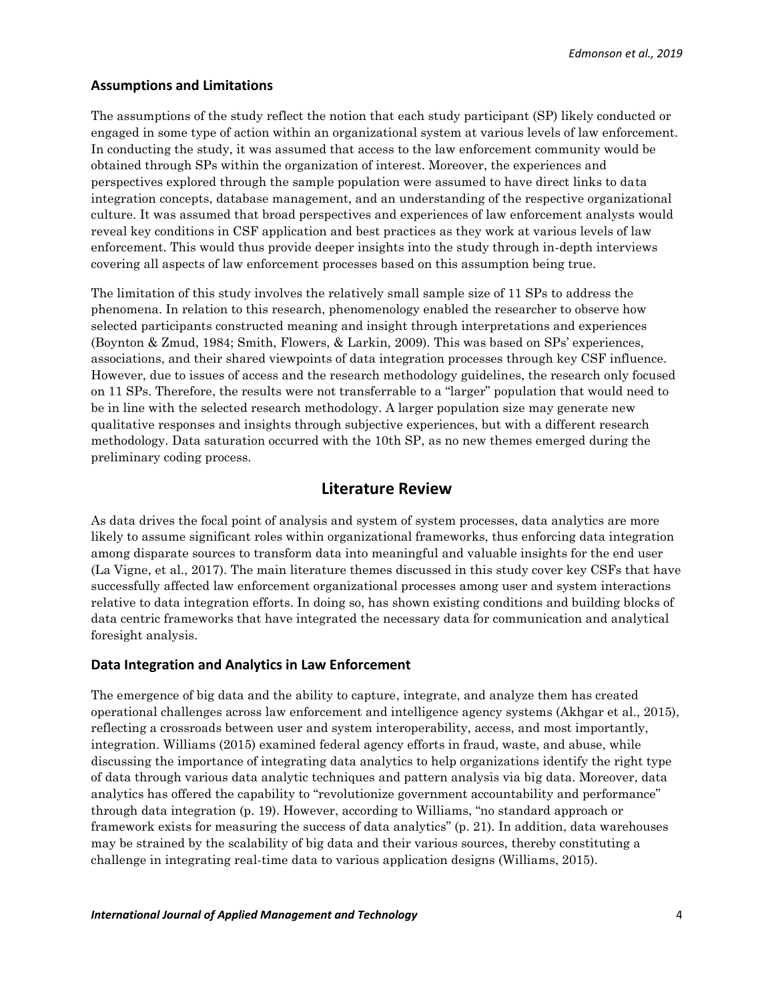# **Assumptions and Limitations**

The assumptions of the study reflect the notion that each study participant (SP) likely conducted or engaged in some type of action within an organizational system at various levels of law enforcement. In conducting the study, it was assumed that access to the law enforcement community would be obtained through SPs within the organization of interest. Moreover, the experiences and perspectives explored through the sample population were assumed to have direct links to data integration concepts, database management, and an understanding of the respective organizational culture. It was assumed that broad perspectives and experiences of law enforcement analysts would reveal key conditions in CSF application and best practices as they work at various levels of law enforcement. This would thus provide deeper insights into the study through in-depth interviews covering all aspects of law enforcement processes based on this assumption being true.

The limitation of this study involves the relatively small sample size of 11 SPs to address the phenomena. In relation to this research, phenomenology enabled the researcher to observe how selected participants constructed meaning and insight through interpretations and experiences (Boynton & Zmud, 1984; Smith, Flowers, & Larkin, 2009). This was based on SPs' experiences, associations, and their shared viewpoints of data integration processes through key CSF influence. However, due to issues of access and the research methodology guidelines, the research only focused on 11 SPs. Therefore, the results were not transferrable to a "larger" population that would need to be in line with the selected research methodology. A larger population size may generate new qualitative responses and insights through subjective experiences, but with a different research methodology. Data saturation occurred with the 10th SP, as no new themes emerged during the preliminary coding process.

# **Literature Review**

As data drives the focal point of analysis and system of system processes, data analytics are more likely to assume significant roles within organizational frameworks, thus enforcing data integration among disparate sources to transform data into meaningful and valuable insights for the end user (La Vigne, et al., 2017). The main literature themes discussed in this study cover key CSFs that have successfully affected law enforcement organizational processes among user and system interactions relative to data integration efforts. In doing so, has shown existing conditions and building blocks of data centric frameworks that have integrated the necessary data for communication and analytical foresight analysis.

#### **Data Integration and Analytics in Law Enforcement**

The emergence of big data and the ability to capture, integrate, and analyze them has created operational challenges across law enforcement and intelligence agency systems (Akhgar et al., 2015), reflecting a crossroads between user and system interoperability, access, and most importantly, integration. Williams (2015) examined federal agency efforts in fraud, waste, and abuse, while discussing the importance of integrating data analytics to help organizations identify the right type of data through various data analytic techniques and pattern analysis via big data. Moreover, data analytics has offered the capability to "revolutionize government accountability and performance" through data integration (p. 19). However, according to Williams, "no standard approach or framework exists for measuring the success of data analytics" (p. 21). In addition, data warehouses may be strained by the scalability of big data and their various sources, thereby constituting a challenge in integrating real-time data to various application designs (Williams, 2015).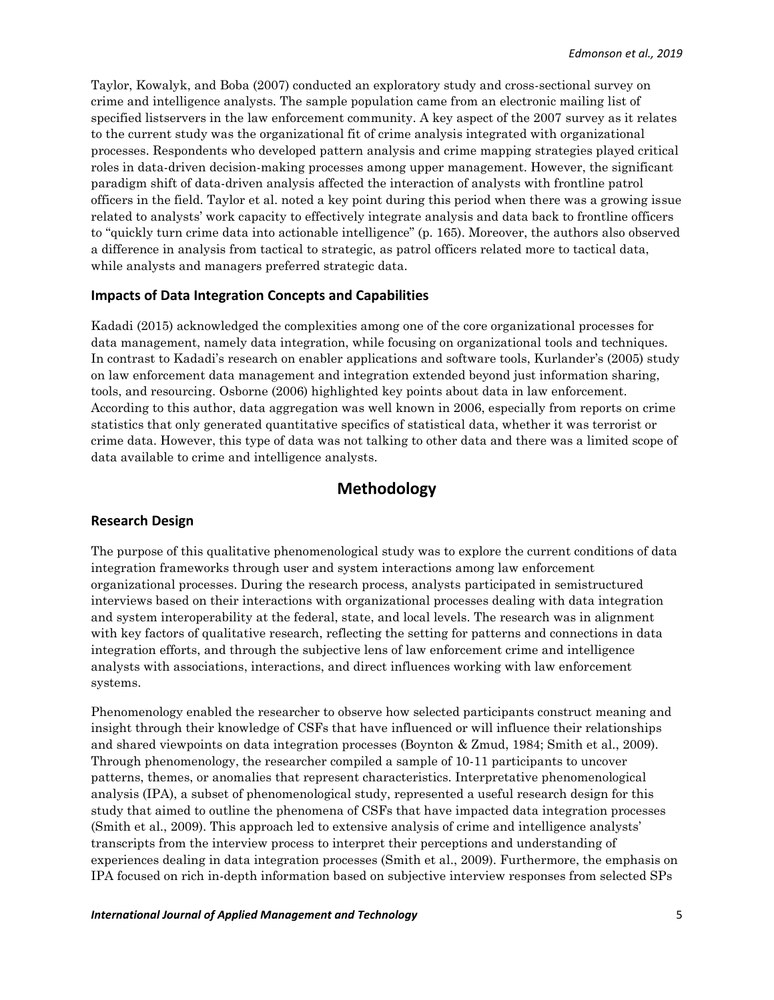Taylor, Kowalyk, and Boba (2007) conducted an exploratory study and cross-sectional survey on crime and intelligence analysts. The sample population came from an electronic mailing list of specified listservers in the law enforcement community. A key aspect of the 2007 survey as it relates to the current study was the organizational fit of crime analysis integrated with organizational processes. Respondents who developed pattern analysis and crime mapping strategies played critical roles in data-driven decision-making processes among upper management. However, the significant paradigm shift of data-driven analysis affected the interaction of analysts with frontline patrol officers in the field. Taylor et al. noted a key point during this period when there was a growing issue related to analysts' work capacity to effectively integrate analysis and data back to frontline officers to "quickly turn crime data into actionable intelligence" (p. 165). Moreover, the authors also observed a difference in analysis from tactical to strategic, as patrol officers related more to tactical data, while analysts and managers preferred strategic data.

### **Impacts of Data Integration Concepts and Capabilities**

Kadadi (2015) acknowledged the complexities among one of the core organizational processes for data management, namely data integration, while focusing on organizational tools and techniques. In contrast to Kadadi's research on enabler applications and software tools, Kurlander's (2005) study on law enforcement data management and integration extended beyond just information sharing, tools, and resourcing. Osborne (2006) highlighted key points about data in law enforcement. According to this author, data aggregation was well known in 2006, especially from reports on crime statistics that only generated quantitative specifics of statistical data, whether it was terrorist or crime data. However, this type of data was not talking to other data and there was a limited scope of data available to crime and intelligence analysts.

# **Methodology**

#### **Research Design**

The purpose of this qualitative phenomenological study was to explore the current conditions of data integration frameworks through user and system interactions among law enforcement organizational processes. During the research process, analysts participated in semistructured interviews based on their interactions with organizational processes dealing with data integration and system interoperability at the federal, state, and local levels. The research was in alignment with key factors of qualitative research, reflecting the setting for patterns and connections in data integration efforts, and through the subjective lens of law enforcement crime and intelligence analysts with associations, interactions, and direct influences working with law enforcement systems.

Phenomenology enabled the researcher to observe how selected participants construct meaning and insight through their knowledge of CSFs that have influenced or will influence their relationships and shared viewpoints on data integration processes (Boynton & Zmud, 1984; Smith et al., 2009). Through phenomenology, the researcher compiled a sample of 10-11 participants to uncover patterns, themes, or anomalies that represent characteristics. Interpretative phenomenological analysis (IPA), a subset of phenomenological study, represented a useful research design for this study that aimed to outline the phenomena of CSFs that have impacted data integration processes (Smith et al., 2009). This approach led to extensive analysis of crime and intelligence analysts' transcripts from the interview process to interpret their perceptions and understanding of experiences dealing in data integration processes (Smith et al., 2009). Furthermore, the emphasis on IPA focused on rich in-depth information based on subjective interview responses from selected SPs

#### *International Journal of Applied Management and Technology* 5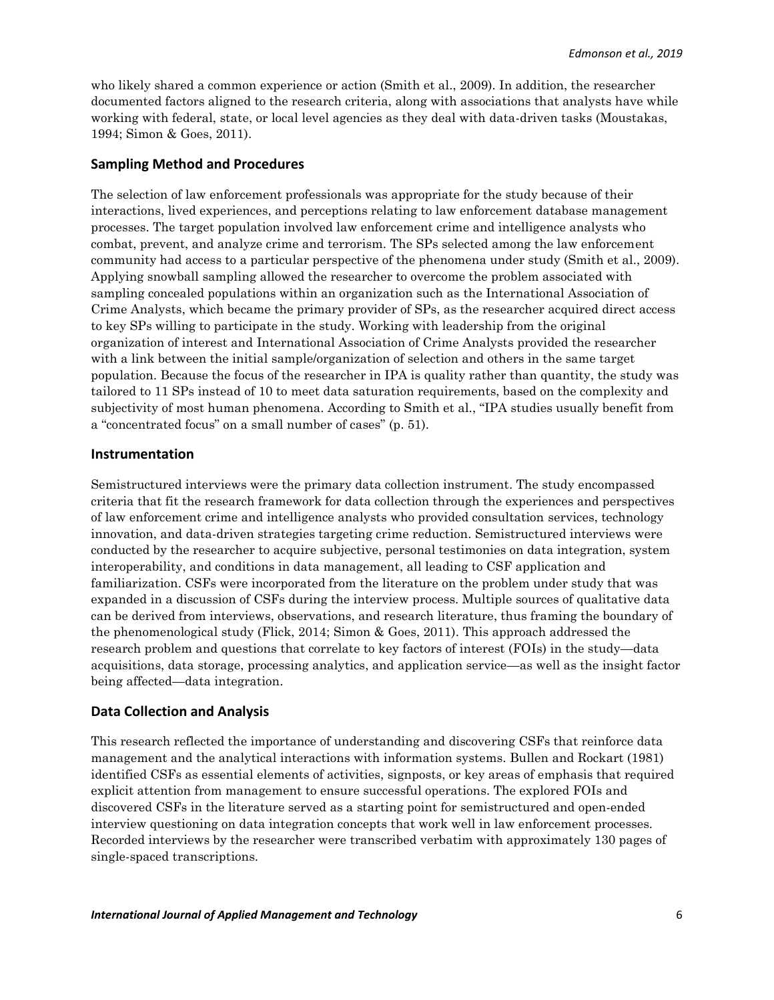who likely shared a common experience or action (Smith et al., 2009). In addition, the researcher documented factors aligned to the research criteria, along with associations that analysts have while working with federal, state, or local level agencies as they deal with data-driven tasks (Moustakas, 1994; Simon & Goes, 2011).

# **Sampling Method and Procedures**

The selection of law enforcement professionals was appropriate for the study because of their interactions, lived experiences, and perceptions relating to law enforcement database management processes. The target population involved law enforcement crime and intelligence analysts who combat, prevent, and analyze crime and terrorism. The SPs selected among the law enforcement community had access to a particular perspective of the phenomena under study (Smith et al., 2009). Applying snowball sampling allowed the researcher to overcome the problem associated with sampling concealed populations within an organization such as the International Association of Crime Analysts, which became the primary provider of SPs, as the researcher acquired direct access to key SPs willing to participate in the study. Working with leadership from the original organization of interest and International Association of Crime Analysts provided the researcher with a link between the initial sample/organization of selection and others in the same target population. Because the focus of the researcher in IPA is quality rather than quantity, the study was tailored to 11 SPs instead of 10 to meet data saturation requirements, based on the complexity and subjectivity of most human phenomena. According to Smith et al., "IPA studies usually benefit from a "concentrated focus" on a small number of cases" (p. 51).

#### **Instrumentation**

Semistructured interviews were the primary data collection instrument. The study encompassed criteria that fit the research framework for data collection through the experiences and perspectives of law enforcement crime and intelligence analysts who provided consultation services, technology innovation, and data-driven strategies targeting crime reduction. Semistructured interviews were conducted by the researcher to acquire subjective, personal testimonies on data integration, system interoperability, and conditions in data management, all leading to CSF application and familiarization. CSFs were incorporated from the literature on the problem under study that was expanded in a discussion of CSFs during the interview process. Multiple sources of qualitative data can be derived from interviews, observations, and research literature, thus framing the boundary of the phenomenological study (Flick, 2014; Simon & Goes, 2011). This approach addressed the research problem and questions that correlate to key factors of interest (FOIs) in the study—data acquisitions, data storage, processing analytics, and application service—as well as the insight factor being affected—data integration.

# **Data Collection and Analysis**

This research reflected the importance of understanding and discovering CSFs that reinforce data management and the analytical interactions with information systems. Bullen and Rockart (1981) identified CSFs as essential elements of activities, signposts, or key areas of emphasis that required explicit attention from management to ensure successful operations. The explored FOIs and discovered CSFs in the literature served as a starting point for semistructured and open-ended interview questioning on data integration concepts that work well in law enforcement processes. Recorded interviews by the researcher were transcribed verbatim with approximately 130 pages of single-spaced transcriptions.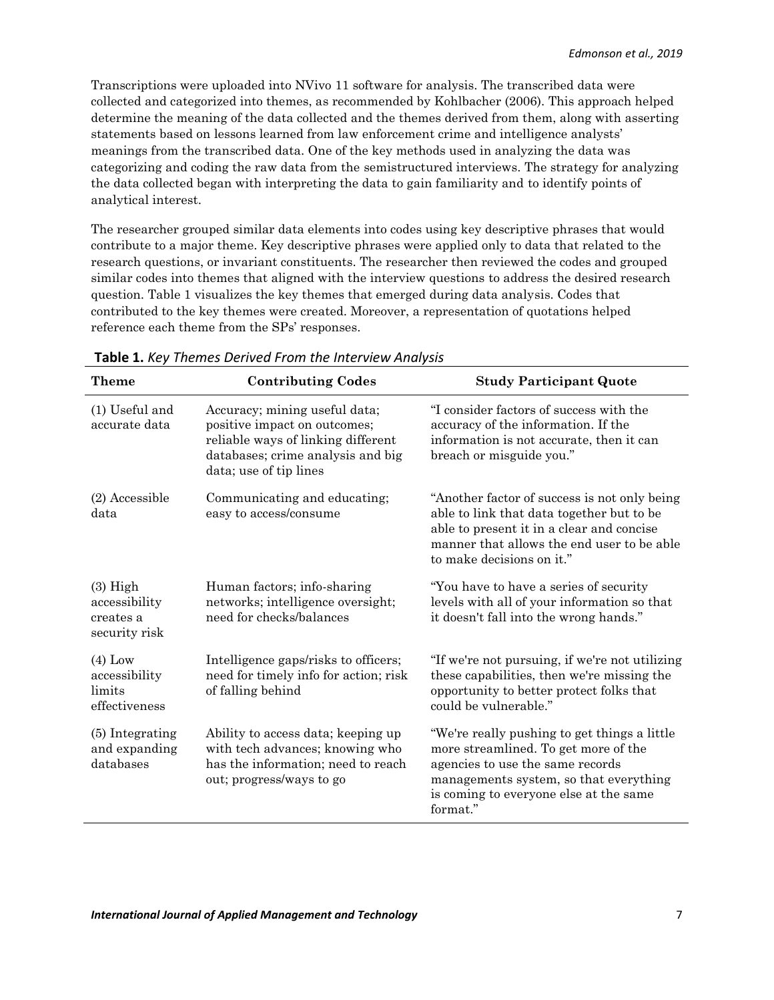Transcriptions were uploaded into NVivo 11 software for analysis. The transcribed data were collected and categorized into themes, as recommended by Kohlbacher (2006). This approach helped determine the meaning of the data collected and the themes derived from them, along with asserting statements based on lessons learned from law enforcement crime and intelligence analysts' meanings from the transcribed data. One of the key methods used in analyzing the data was categorizing and coding the raw data from the semistructured interviews. The strategy for analyzing the data collected began with interpreting the data to gain familiarity and to identify points of analytical interest.

The researcher grouped similar data elements into codes using key descriptive phrases that would contribute to a major theme. Key descriptive phrases were applied only to data that related to the research questions, or invariant constituents. The researcher then reviewed the codes and grouped similar codes into themes that aligned with the interview questions to address the desired research question. Table 1 visualizes the key themes that emerged during data analysis. Codes that contributed to the key themes were created. Moreover, a representation of quotations helped reference each theme from the SPs' responses.

| <b>Theme</b>                                              | <b>Contributing Codes</b>                                                                                                                                          | <b>Study Participant Quote</b>                                                                                                                                                                                           |  |  |
|-----------------------------------------------------------|--------------------------------------------------------------------------------------------------------------------------------------------------------------------|--------------------------------------------------------------------------------------------------------------------------------------------------------------------------------------------------------------------------|--|--|
| (1) Useful and<br>accurate data                           | Accuracy; mining useful data;<br>positive impact on outcomes;<br>reliable ways of linking different<br>databases; crime analysis and big<br>data; use of tip lines | "I consider factors of success with the<br>accuracy of the information. If the<br>information is not accurate, then it can<br>breach or misguide you."                                                                   |  |  |
| (2) Accessible<br>data                                    | Communicating and educating;<br>easy to access/consume                                                                                                             | "Another factor of success is not only being<br>able to link that data together but to be<br>able to present it in a clear and concise<br>manner that allows the end user to be able<br>to make decisions on it."        |  |  |
| $(3)$ High<br>accessibility<br>creates a<br>security risk | Human factors; info-sharing<br>networks; intelligence oversight;<br>need for checks/balances                                                                       | "You have to have a series of security"<br>levels with all of your information so that<br>it doesn't fall into the wrong hands."                                                                                         |  |  |
| $(4)$ Low<br>accessibility<br>limits<br>effectiveness     | Intelligence gaps/risks to officers;<br>need for timely info for action; risk<br>of falling behind                                                                 | "If we're not pursuing, if we're not utilizing<br>these capabilities, then we're missing the<br>opportunity to better protect folks that<br>could be vulnerable."                                                        |  |  |
| (5) Integrating<br>and expanding<br>databases             | Ability to access data; keeping up<br>with tech advances; knowing who<br>has the information; need to reach<br>out; progress/ways to go                            | "We're really pushing to get things a little<br>more streamlined. To get more of the<br>agencies to use the same records<br>managements system, so that everything<br>is coming to everyone else at the same<br>format." |  |  |

**Table 1.** *Key Themes Derived From the Interview Analysis*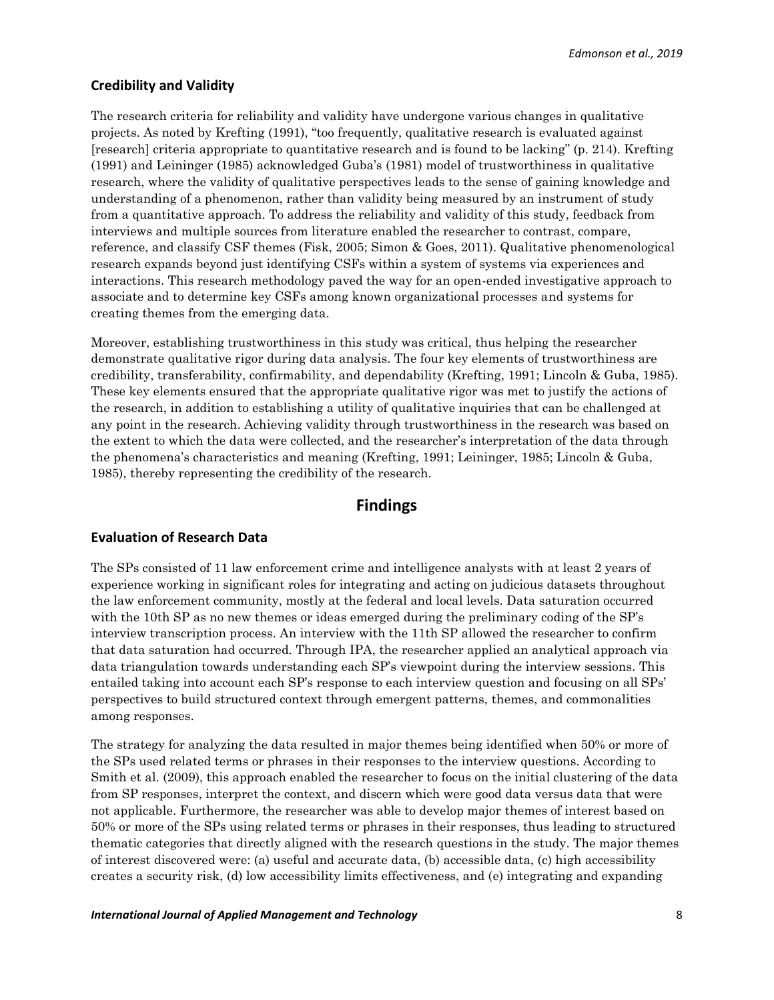# **Credibility and Validity**

The research criteria for reliability and validity have undergone various changes in qualitative projects. As noted by Krefting (1991), "too frequently, qualitative research is evaluated against [research] criteria appropriate to quantitative research and is found to be lacking" (p. 214). Krefting (1991) and Leininger (1985) acknowledged Guba's (1981) model of trustworthiness in qualitative research, where the validity of qualitative perspectives leads to the sense of gaining knowledge and understanding of a phenomenon, rather than validity being measured by an instrument of study from a quantitative approach. To address the reliability and validity of this study, feedback from interviews and multiple sources from literature enabled the researcher to contrast, compare, reference, and classify CSF themes (Fisk, 2005; Simon & Goes, 2011). Qualitative phenomenological research expands beyond just identifying CSFs within a system of systems via experiences and interactions. This research methodology paved the way for an open-ended investigative approach to associate and to determine key CSFs among known organizational processes and systems for creating themes from the emerging data.

Moreover, establishing trustworthiness in this study was critical, thus helping the researcher demonstrate qualitative rigor during data analysis. The four key elements of trustworthiness are credibility, transferability, confirmability, and dependability (Krefting, 1991; Lincoln & Guba, 1985). These key elements ensured that the appropriate qualitative rigor was met to justify the actions of the research, in addition to establishing a utility of qualitative inquiries that can be challenged at any point in the research. Achieving validity through trustworthiness in the research was based on the extent to which the data were collected, and the researcher's interpretation of the data through the phenomena's characteristics and meaning (Krefting, 1991; Leininger, 1985; Lincoln & Guba, 1985), thereby representing the credibility of the research.

# **Findings**

#### **Evaluation of Research Data**

The SPs consisted of 11 law enforcement crime and intelligence analysts with at least 2 years of experience working in significant roles for integrating and acting on judicious datasets throughout the law enforcement community, mostly at the federal and local levels. Data saturation occurred with the 10th SP as no new themes or ideas emerged during the preliminary coding of the SP's interview transcription process. An interview with the 11th SP allowed the researcher to confirm that data saturation had occurred. Through IPA, the researcher applied an analytical approach via data triangulation towards understanding each SP's viewpoint during the interview sessions. This entailed taking into account each SP's response to each interview question and focusing on all SPs' perspectives to build structured context through emergent patterns, themes, and commonalities among responses.

The strategy for analyzing the data resulted in major themes being identified when 50% or more of the SPs used related terms or phrases in their responses to the interview questions. According to Smith et al. (2009), this approach enabled the researcher to focus on the initial clustering of the data from SP responses, interpret the context, and discern which were good data versus data that were not applicable. Furthermore, the researcher was able to develop major themes of interest based on 50% or more of the SPs using related terms or phrases in their responses, thus leading to structured thematic categories that directly aligned with the research questions in the study. The major themes of interest discovered were: (a) useful and accurate data, (b) accessible data, (c) high accessibility creates a security risk, (d) low accessibility limits effectiveness, and (e) integrating and expanding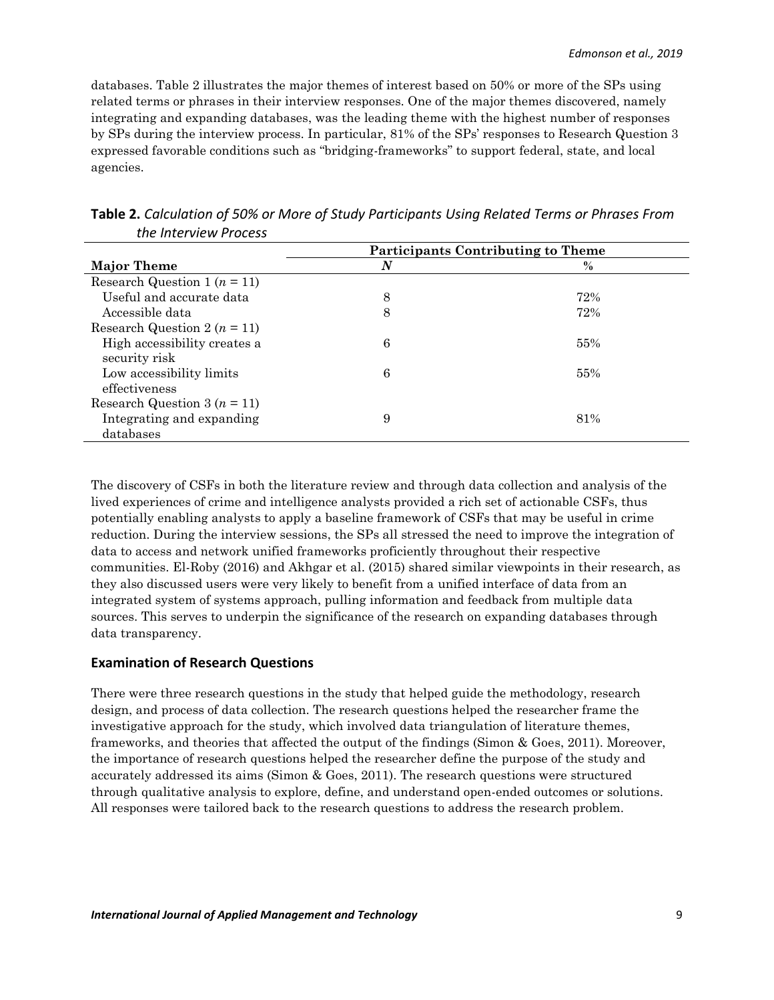databases. Table 2 illustrates the major themes of interest based on 50% or more of the SPs using related terms or phrases in their interview responses. One of the major themes discovered, namely integrating and expanding databases, was the leading theme with the highest number of responses by SPs during the interview process. In particular, 81% of the SPs' responses to Research Question 3 expressed favorable conditions such as "bridging-frameworks" to support federal, state, and local agencies.

|                                  | <b>Participants Contributing to Theme</b> |      |  |  |
|----------------------------------|-------------------------------------------|------|--|--|
| <b>Major Theme</b>               | $\boldsymbol{N}$                          | $\%$ |  |  |
| Research Question 1 ( $n = 11$ ) |                                           |      |  |  |
| Useful and accurate data         | 8                                         | 72%  |  |  |
| Accessible data                  | 8                                         | 72%  |  |  |
| Research Question 2 ( $n = 11$ ) |                                           |      |  |  |
| High accessibility creates a     | 6                                         | 55%  |  |  |
| security risk                    |                                           |      |  |  |
| Low accessibility limits         | 6                                         | 55%  |  |  |
| effectiveness                    |                                           |      |  |  |
| Research Question 3 ( $n = 11$ ) |                                           |      |  |  |
| Integrating and expanding        | 9                                         | 81%  |  |  |
| databases                        |                                           |      |  |  |

**Table 2.** *Calculation of 50% or More of Study Participants Using Related Terms or Phrases From the Interview Process*

The discovery of CSFs in both the literature review and through data collection and analysis of the lived experiences of crime and intelligence analysts provided a rich set of actionable CSFs, thus potentially enabling analysts to apply a baseline framework of CSFs that may be useful in crime reduction. During the interview sessions, the SPs all stressed the need to improve the integration of data to access and network unified frameworks proficiently throughout their respective communities. El-Roby (2016) and Akhgar et al. (2015) shared similar viewpoints in their research, as they also discussed users were very likely to benefit from a unified interface of data from an integrated system of systems approach, pulling information and feedback from multiple data sources. This serves to underpin the significance of the research on expanding databases through data transparency.

# **Examination of Research Questions**

There were three research questions in the study that helped guide the methodology, research design, and process of data collection. The research questions helped the researcher frame the investigative approach for the study, which involved data triangulation of literature themes, frameworks, and theories that affected the output of the findings (Simon & Goes, 2011). Moreover, the importance of research questions helped the researcher define the purpose of the study and accurately addressed its aims (Simon & Goes, 2011). The research questions were structured through qualitative analysis to explore, define, and understand open-ended outcomes or solutions. All responses were tailored back to the research questions to address the research problem.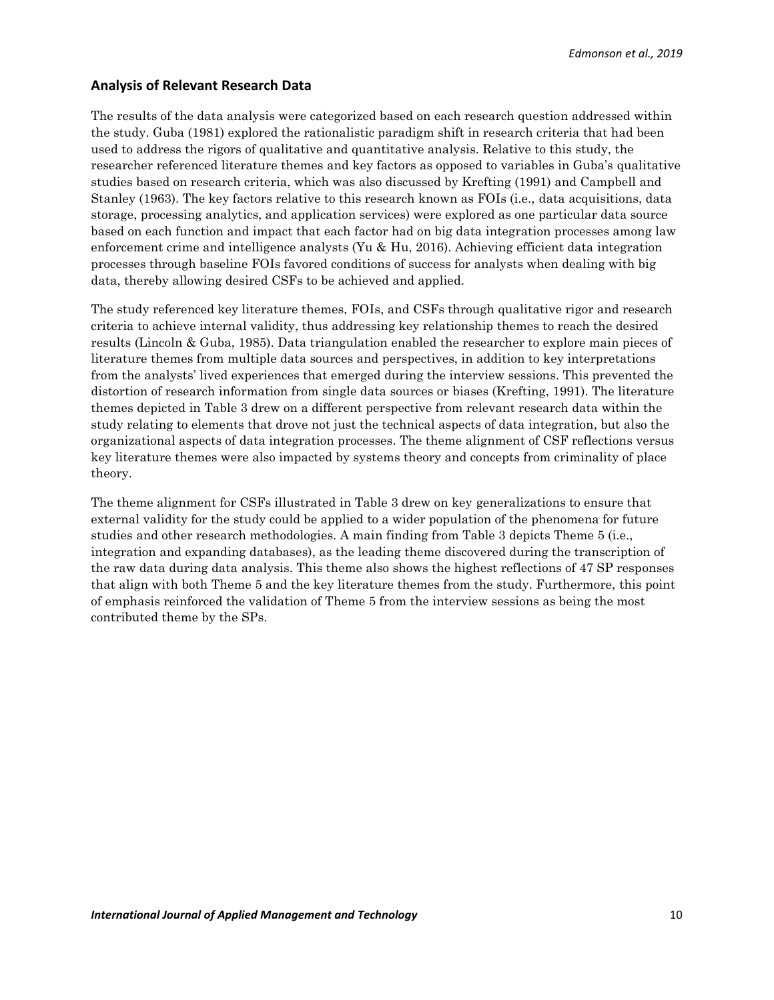# **Analysis of Relevant Research Data**

The results of the data analysis were categorized based on each research question addressed within the study. Guba (1981) explored the rationalistic paradigm shift in research criteria that had been used to address the rigors of qualitative and quantitative analysis. Relative to this study, the researcher referenced literature themes and key factors as opposed to variables in Guba's qualitative studies based on research criteria, which was also discussed by Krefting (1991) and Campbell and Stanley (1963). The key factors relative to this research known as FOIs (i.e., data acquisitions, data storage, processing analytics, and application services) were explored as one particular data source based on each function and impact that each factor had on big data integration processes among law enforcement crime and intelligence analysts (Yu & Hu, 2016). Achieving efficient data integration processes through baseline FOIs favored conditions of success for analysts when dealing with big data, thereby allowing desired CSFs to be achieved and applied.

The study referenced key literature themes, FOIs, and CSFs through qualitative rigor and research criteria to achieve internal validity, thus addressing key relationship themes to reach the desired results (Lincoln & Guba, 1985). Data triangulation enabled the researcher to explore main pieces of literature themes from multiple data sources and perspectives, in addition to key interpretations from the analysts' lived experiences that emerged during the interview sessions. This prevented the distortion of research information from single data sources or biases (Krefting, 1991). The literature themes depicted in Table 3 drew on a different perspective from relevant research data within the study relating to elements that drove not just the technical aspects of data integration, but also the organizational aspects of data integration processes. The theme alignment of CSF reflections versus key literature themes were also impacted by systems theory and concepts from criminality of place theory.

The theme alignment for CSFs illustrated in Table 3 drew on key generalizations to ensure that external validity for the study could be applied to a wider population of the phenomena for future studies and other research methodologies. A main finding from Table 3 depicts Theme 5 (i.e., integration and expanding databases), as the leading theme discovered during the transcription of the raw data during data analysis. This theme also shows the highest reflections of 47 SP responses that align with both Theme 5 and the key literature themes from the study. Furthermore, this point of emphasis reinforced the validation of Theme 5 from the interview sessions as being the most contributed theme by the SPs.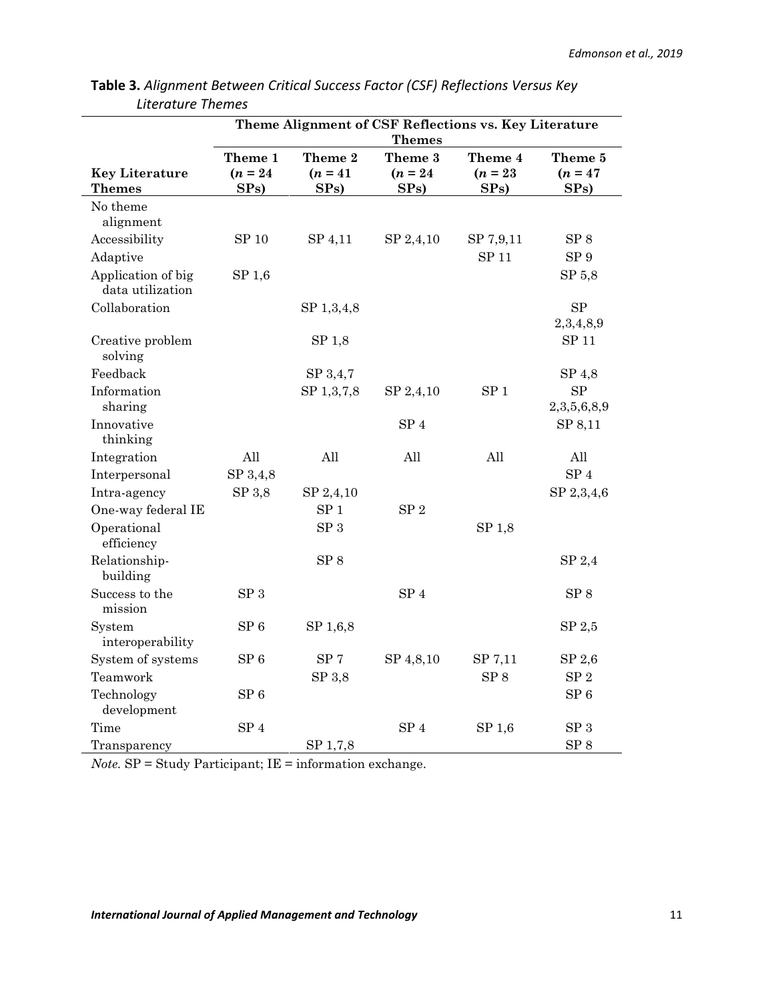|                                        | Theme Alignment of CSF Reflections vs. Key Literature |                    |                    |                                 |                          |  |  |
|----------------------------------------|-------------------------------------------------------|--------------------|--------------------|---------------------------------|--------------------------|--|--|
|                                        | <b>Themes</b>                                         |                    |                    |                                 |                          |  |  |
|                                        | Theme 1                                               | Theme 2            | Theme 3            | Theme 4                         | Theme 5                  |  |  |
| <b>Key Literature</b><br><b>Themes</b> | $(n = 24)$<br>SPs)                                    | $(n = 41)$<br>SPs) | $(n = 24)$<br>SPs) | $(n = 23)$<br>SP <sub>s</sub> ) | $(n = 47)$<br>SPs)       |  |  |
| No theme<br>alignment                  |                                                       |                    |                    |                                 |                          |  |  |
| Accessibility                          | SP 10                                                 | SP 4,11            | SP 2,4,10          | SP 7,9,11                       | SP 8                     |  |  |
| Adaptive                               |                                                       |                    |                    | SP 11                           | SP <sub>9</sub>          |  |  |
| Application of big<br>data utilization | SP <sub>1,6</sub>                                     |                    |                    |                                 | SP 5.8                   |  |  |
| Collaboration                          |                                                       | SP 1,3,4,8         |                    |                                 | SP<br>2,3,4,8,9          |  |  |
| Creative problem<br>solving            |                                                       | SP <sub>1,8</sub>  |                    |                                 | SP 11                    |  |  |
| Feedback                               |                                                       | SP 3,4,7           |                    |                                 | SP 4,8                   |  |  |
| Information<br>sharing                 |                                                       | SP 1,3,7,8         | SP 2,4,10          | SP <sub>1</sub>                 | <b>SP</b><br>2,3,5,6,8,9 |  |  |
| Innovative<br>thinking                 |                                                       |                    | SP <sub>4</sub>    |                                 | SP 8,11                  |  |  |
| Integration                            | All                                                   | All                | All                | All                             | All                      |  |  |
| Interpersonal                          | SP 3,4,8                                              |                    |                    |                                 | SP <sub>4</sub>          |  |  |
| Intra-agency                           | SP 3,8                                                | SP 2,4,10          |                    |                                 | SP 2,3,4,6               |  |  |
| One-way federal IE                     |                                                       | SP <sub>1</sub>    | SP <sub>2</sub>    |                                 |                          |  |  |
| Operational<br>efficiency              |                                                       | ${\rm SP}~3$       |                    | SP 1,8                          |                          |  |  |
| Relationship-<br>building              |                                                       | $SP 8$             |                    |                                 | SP 2,4                   |  |  |
| Success to the<br>mission              | SP <sub>3</sub>                                       |                    | ${\rm SP}$ 4       |                                 | SP 8                     |  |  |
| System<br>interoperability             | ${\rm SP}$ 6                                          | SP 1,6,8           |                    |                                 | SP 2,5                   |  |  |
| System of systems                      | SP 6                                                  | SP <sub>7</sub>    | SP 4,8,10          | SP 7,11                         | SP 2,6                   |  |  |
| Teamwork                               |                                                       | SP 3,8             |                    | SP <sub>8</sub>                 | ${\rm SP}$ 2             |  |  |
| Technology<br>development              | SP <sub>6</sub>                                       |                    |                    |                                 | SP <sub>6</sub>          |  |  |
| Time                                   | SP <sub>4</sub>                                       |                    | SP <sub>4</sub>    | SP 1,6                          | SP <sub>3</sub>          |  |  |
| Transparency                           |                                                       | SP 1,7,8           |                    |                                 | ${\rm SP}$ 8             |  |  |

**Table 3.** *Alignment Between Critical Success Factor (CSF) Reflections Versus Key Literature Themes*

*Note.* SP = Study Participant; IE = information exchange.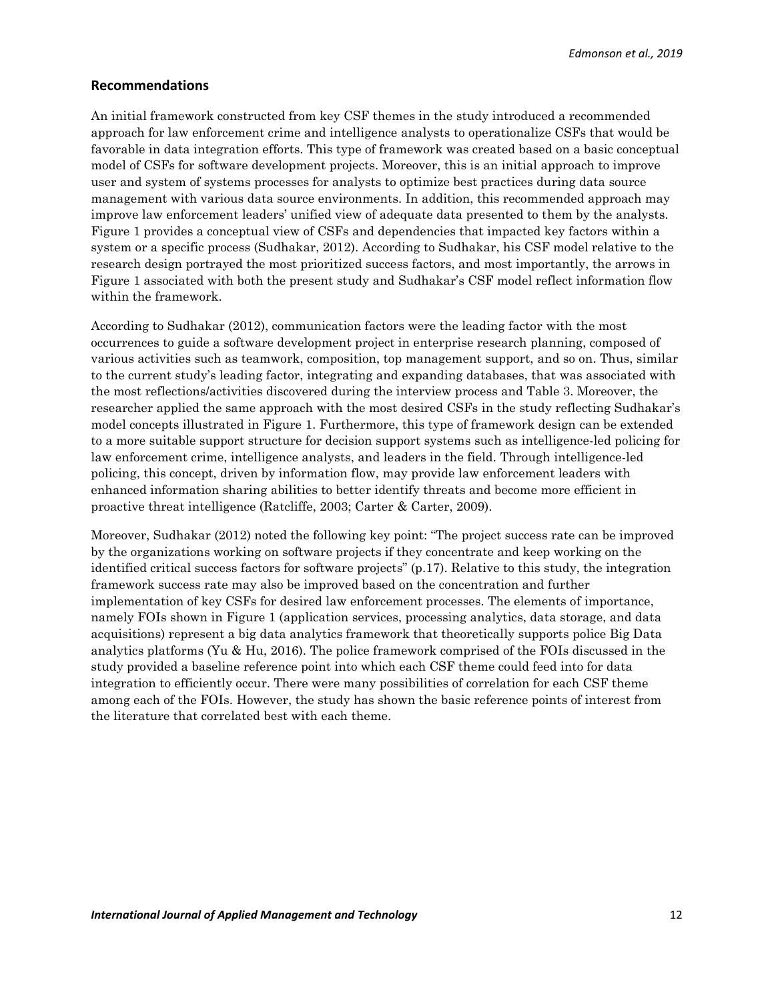*Edmonson et al., 2019*

#### **Recommendations**

An initial framework constructed from key CSF themes in the study introduced a recommended approach for law enforcement crime and intelligence analysts to operationalize CSFs that would be favorable in data integration efforts. This type of framework was created based on a basic conceptual model of CSFs for software development projects. Moreover, this is an initial approach to improve user and system of systems processes for analysts to optimize best practices during data source management with various data source environments. In addition, this recommended approach may improve law enforcement leaders' unified view of adequate data presented to them by the analysts. Figure 1 provides a conceptual view of CSFs and dependencies that impacted key factors within a system or a specific process (Sudhakar, 2012). According to Sudhakar, his CSF model relative to the research design portrayed the most prioritized success factors, and most importantly, the arrows in Figure 1 associated with both the present study and Sudhakar's CSF model reflect information flow within the framework.

According to Sudhakar (2012), communication factors were the leading factor with the most occurrences to guide a software development project in enterprise research planning, composed of various activities such as teamwork, composition, top management support, and so on. Thus, similar to the current study's leading factor, integrating and expanding databases, that was associated with the most reflections/activities discovered during the interview process and Table 3. Moreover, the researcher applied the same approach with the most desired CSFs in the study reflecting Sudhakar's model concepts illustrated in Figure 1. Furthermore, this type of framework design can be extended to a more suitable support structure for decision support systems such as intelligence-led policing for law enforcement crime, intelligence analysts, and leaders in the field. Through intelligence-led policing, this concept, driven by information flow, may provide law enforcement leaders with enhanced information sharing abilities to better identify threats and become more efficient in proactive threat intelligence (Ratcliffe, 2003; Carter & Carter, 2009).

Moreover, Sudhakar (2012) noted the following key point: "The project success rate can be improved by the organizations working on software projects if they concentrate and keep working on the identified critical success factors for software projects" (p.17). Relative to this study, the integration framework success rate may also be improved based on the concentration and further implementation of key CSFs for desired law enforcement processes. The elements of importance, namely FOIs shown in Figure 1 (application services, processing analytics, data storage, and data acquisitions) represent a big data analytics framework that theoretically supports police Big Data analytics platforms (Yu & Hu, 2016). The police framework comprised of the FOIs discussed in the study provided a baseline reference point into which each CSF theme could feed into for data integration to efficiently occur. There were many possibilities of correlation for each CSF theme among each of the FOIs. However, the study has shown the basic reference points of interest from the literature that correlated best with each theme.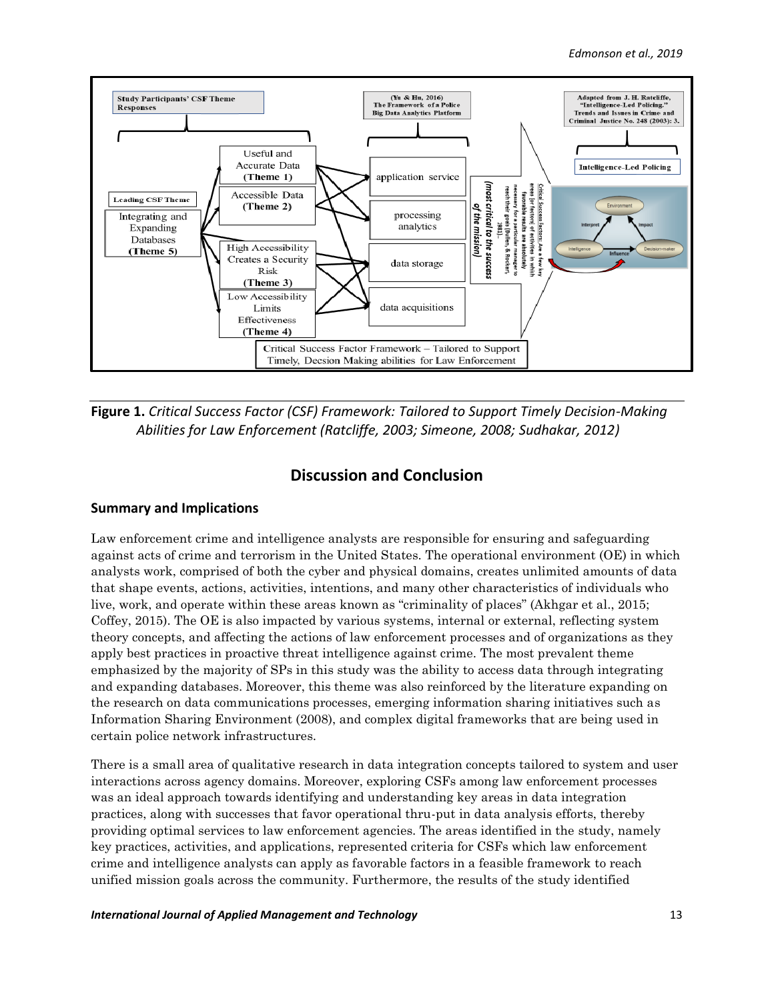

**Figure 1.** *Critical Success Factor (CSF) Framework: Tailored to Support Timely Decision-Making Abilities for Law Enforcement (Ratcliffe, 2003; Simeone, 2008; Sudhakar, 2012)*

# **Discussion and Conclusion**

# **Summary and Implications**

Law enforcement crime and intelligence analysts are responsible for ensuring and safeguarding against acts of crime and terrorism in the United States. The operational environment (OE) in which analysts work, comprised of both the cyber and physical domains, creates unlimited amounts of data that shape events, actions, activities, intentions, and many other characteristics of individuals who live, work, and operate within these areas known as "criminality of places" (Akhgar et al., 2015; Coffey, 2015). The OE is also impacted by various systems, internal or external, reflecting system theory concepts, and affecting the actions of law enforcement processes and of organizations as they apply best practices in proactive threat intelligence against crime. The most prevalent theme emphasized by the majority of SPs in this study was the ability to access data through integrating and expanding databases. Moreover, this theme was also reinforced by the literature expanding on the research on data communications processes, emerging information sharing initiatives such as Information Sharing Environment (2008), and complex digital frameworks that are being used in certain police network infrastructures.

There is a small area of qualitative research in data integration concepts tailored to system and user interactions across agency domains. Moreover, exploring CSFs among law enforcement processes was an ideal approach towards identifying and understanding key areas in data integration practices, along with successes that favor operational thru-put in data analysis efforts, thereby providing optimal services to law enforcement agencies. The areas identified in the study, namely key practices, activities, and applications, represented criteria for CSFs which law enforcement crime and intelligence analysts can apply as favorable factors in a feasible framework to reach unified mission goals across the community. Furthermore, the results of the study identified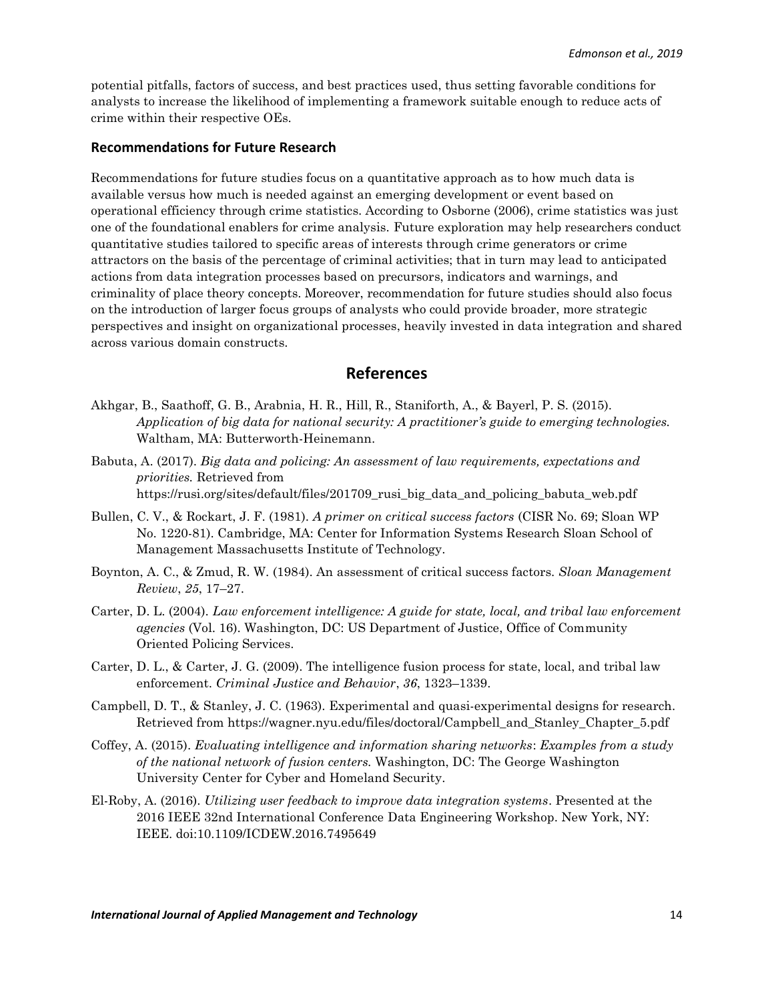potential pitfalls, factors of success, and best practices used, thus setting favorable conditions for analysts to increase the likelihood of implementing a framework suitable enough to reduce acts of crime within their respective OEs.

#### **Recommendations for Future Research**

Recommendations for future studies focus on a quantitative approach as to how much data is available versus how much is needed against an emerging development or event based on operational efficiency through crime statistics. According to Osborne (2006), crime statistics was just one of the foundational enablers for crime analysis. Future exploration may help researchers conduct quantitative studies tailored to specific areas of interests through crime generators or crime attractors on the basis of the percentage of criminal activities; that in turn may lead to anticipated actions from data integration processes based on precursors, indicators and warnings, and criminality of place theory concepts. Moreover, recommendation for future studies should also focus on the introduction of larger focus groups of analysts who could provide broader, more strategic perspectives and insight on organizational processes, heavily invested in data integration and shared across various domain constructs.

# **References**

- Akhgar, B., Saathoff, G. B., Arabnia, H. R., Hill, R., Staniforth, A., & Bayerl, P. S. (2015). *Application of big data for national security: A practitioner's guide to emerging technologies.* Waltham, MA: Butterworth-Heinemann.
- Babuta, A. (2017). *Big data and policing: An assessment of law requirements, expectations and priorities.* Retrieved from https://rusi.org/sites/default/files/201709 rusi big data and policing babuta web.pdf
- Bullen, C. V., & Rockart, J. F. (1981). *A primer on critical success factors* (CISR No. 69; Sloan WP No. 1220-81). Cambridge, MA: Center for Information Systems Research Sloan School of Management Massachusetts Institute of Technology.
- Boynton, A. C., & Zmud, R. W. (1984). An assessment of critical success factors. *Sloan Management Review*, *25*, 17–27.
- Carter, D. L. (2004). *Law enforcement intelligence: A guide for state, local, and tribal law enforcement agencies* (Vol. 16). Washington, DC: US Department of Justice, Office of Community Oriented Policing Services.
- Carter, D. L., & Carter, J. G. (2009). The intelligence fusion process for state, local, and tribal law enforcement. *Criminal Justice and Behavior*, *36*, 1323–1339.
- Campbell, D. T., & Stanley, J. C. (1963). Experimental and quasi-experimental designs for research. Retrieved from https://wagner.nyu.edu/files/doctoral/Campbell\_and\_Stanley\_Chapter\_5.pdf
- Coffey, A. (2015). *Evaluating intelligence and information sharing networks*: *Examples from a study of the national network of fusion centers.* Washington, DC: The George Washington University Center for Cyber and Homeland Security.
- El-Roby, A. (2016). *Utilizing user feedback to improve data integration systems*. Presented at the 2016 IEEE 32nd International Conference Data Engineering Workshop. New York, NY: IEEE. doi:10.1109/ICDEW.2016.7495649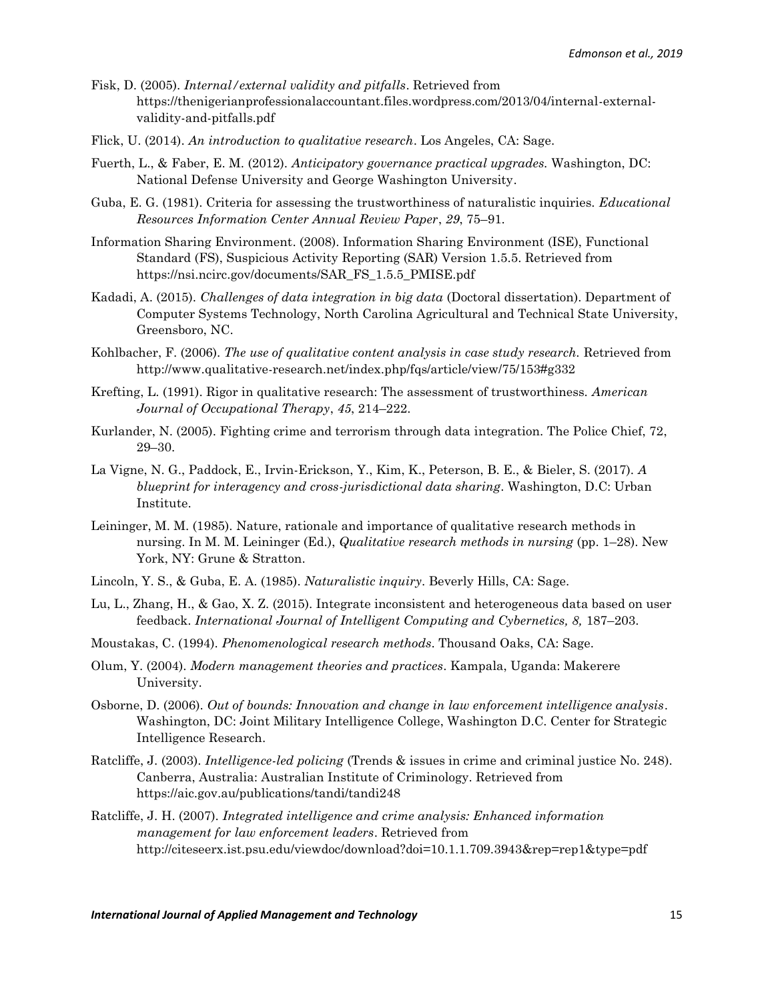- Fisk, D. (2005). *Internal/external validity and pitfalls*. Retrieved from https://thenigerianprofessionalaccountant.files.wordpress.com/2013/04/internal-externalvalidity-and-pitfalls.pdf
- Flick, U. (2014). *An introduction to qualitative research*. Los Angeles, CA: Sage.
- Fuerth, L., & Faber, E. M. (2012). *Anticipatory governance practical upgrades.* Washington, DC: National Defense University and George Washington University.
- Guba, E. G. (1981). Criteria for assessing the trustworthiness of naturalistic inquiries. *Educational Resources Information Center Annual Review Paper*, *29*, 75–91.
- Information Sharing Environment. (2008). Information Sharing Environment (ISE), Functional Standard (FS), Suspicious Activity Reporting (SAR) Version 1.5.5. Retrieved from https://nsi.ncirc.gov/documents/SAR\_FS\_1.5.5\_PMISE.pdf
- Kadadi, A. (2015). *Challenges of data integration in big data* (Doctoral dissertation). Department of Computer Systems Technology, North Carolina Agricultural and Technical State University, Greensboro, NC.
- Kohlbacher, F. (2006). *The use of qualitative content analysis in case study research.* Retrieved from [http://www.qualitative-re](ttp://www.qualitative-r/)search.net/index.php/fqs/article/view/75/153#g332
- Krefting, L. (1991). Rigor in qualitative research: The assessment of trustworthiness. *American Journal of Occupational Therapy*, *45*, 214–222.
- Kurlander, N. (2005). Fighting crime and terrorism through data integration. The Police Chief, 72, 29–30.
- La Vigne, N. G., Paddock, E., Irvin-Erickson, Y., Kim, K., Peterson, B. E., & Bieler, S. (2017). *A blueprint for interagency and cross-jurisdictional data sharing*. Washington, D.C: Urban Institute.
- Leininger, M. M. (1985). Nature, rationale and importance of qualitative research methods in nursing. In M. M. Leininger (Ed.), *Qualitative research methods in nursing* (pp. 1–28). New York, NY: Grune & Stratton.
- Lincoln, Y. S., & Guba, E. A. (1985). *Naturalistic inquiry*. Beverly Hills, CA: Sage.
- Lu, L., Zhang, H., & Gao, X. Z. (2015). Integrate inconsistent and heterogeneous data based on user feedback. *International Journal of Intelligent Computing and Cybernetics, 8,* 187–203.
- Moustakas, C. (1994). *Phenomenological research methods*. Thousand Oaks, CA: Sage.
- Olum, Y. (2004). *Modern management theories and practices*. Kampala, Uganda: Makerere University.
- Osborne, D. (2006). *Out of bounds: Innovation and change in law enforcement intelligence analysis*. Washington, DC: Joint Military Intelligence College, Washington D.C. Center for Strategic Intelligence Research.
- Ratcliffe, J. (2003). *Intelligence-led policing* (Trends & issues in crime and criminal justice No. 248). Canberra, Australia: Australian Institute of Criminology. Retrieved from https://aic.gov.au/publications/tandi/tandi248
- Ratcliffe, J. H. (2007). *Integrated intelligence and crime analysis: Enhanced information management for law enforcement leaders*. Retrieved from http://citeseerx.ist.psu.edu/viewdoc/download?doi=10.1.1.709.3943&rep=rep1&type=pdf